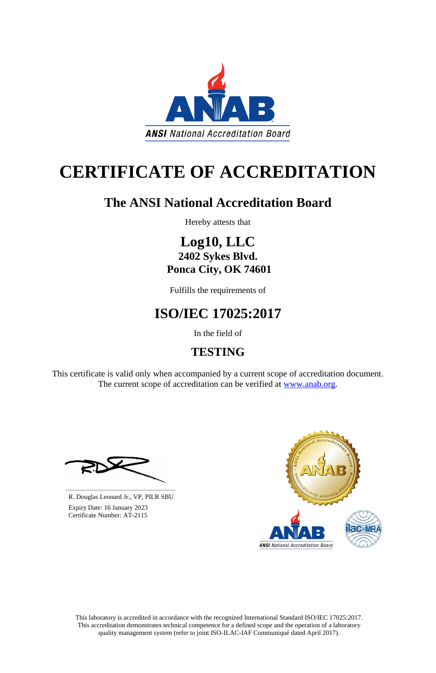This laboratory is accredited in accordance with the recognized International Standard ISO/IEC 17025:2017. This accreditation demonstrates technical competence for a defined scope and the operation of a laboratory quality management system (refer to joint ISO-ILAC-IAF Communiqué dated April 2017).

This certificate is valid only when accompanied by a current scope of accreditation document. The current scope of accreditation can be verified at [www.anab.org.](http://www.anab.org/)



# **CERTIFICATE OF ACCREDITATION**

## **The ANSI National Accreditation Board**

Hereby attests that

### **Log10, LLC 2402 Sykes Blvd. Ponca City, OK 74601**

Fulfills the requirements of

# **ISO/IEC 17025:2017**

In the field of

# **TESTING**





R. Douglas Leonard Jr., VP, PILR SBU

 Expiry Date: 16 January 2023 Certificate Number: AT-2115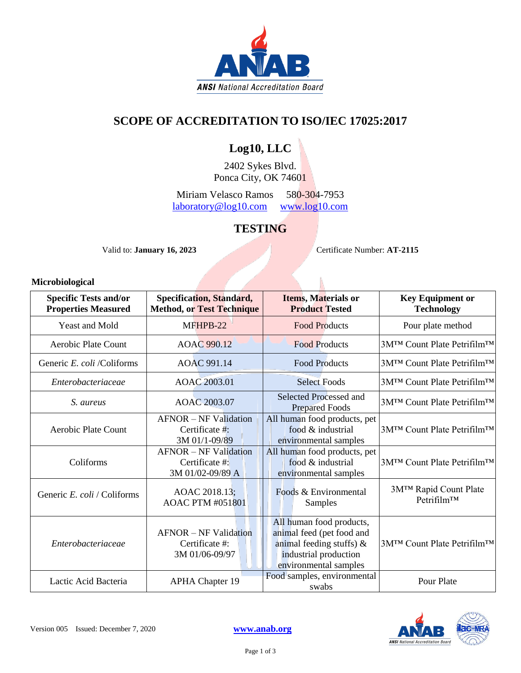

### **SCOPE OF ACCREDITATION TO ISO/IEC 17025:2017**

### **Log10, LLC**

2402 Sykes Blvd. Ponca City, OK 74601

Miriam Velasco Ramos 580-304-7953 [laboratory@log10.com](mailto:laboratory@log10.com) [www.log10.com](http://www.log10.com/)

### **TESTING**

Valid to: **January 16, 2023** Certificate Number: **AT-2115** 

#### **Microbiological**

| <b>Specific Tests and/or</b><br><b>Properties Measured</b> | Specification, Standard,<br><b>Method, or Test Technique</b>       | <b>Items, Materials or</b><br><b>Product Tested</b>                                                                                    | <b>Key Equipment or</b><br><b>Technology</b> |
|------------------------------------------------------------|--------------------------------------------------------------------|----------------------------------------------------------------------------------------------------------------------------------------|----------------------------------------------|
| <b>Yeast and Mold</b>                                      | MFHPB-22                                                           | <b>Food Products</b>                                                                                                                   | Pour plate method                            |
| Aerobic Plate Count                                        | AOAC 990.12                                                        | <b>Food Products</b>                                                                                                                   | 3M™ Count Plate Petrifilm™                   |
| Generic E. coli /Coliforms                                 | AOAC 991.14                                                        | <b>Food Products</b>                                                                                                                   | 3M™ Count Plate Petrifilm™                   |
| Enterobacteriaceae                                         | AOAC 2003.01                                                       | <b>Select Foods</b>                                                                                                                    | 3M™ Count Plate Petrifilm™                   |
| S. aureus                                                  | AOAC 2003.07                                                       | Selected Processed and<br><b>Prepared Foods</b>                                                                                        | 3M™ Count Plate Petrifilm™                   |
| Aerobic Plate Count                                        | <b>AFNOR</b> – NF Validation<br>Certificate #:<br>3M 01/1-09/89    | All human food products, pet<br>food & industrial<br>environmental samples                                                             | 3M™ Count Plate Petrifilm™                   |
| Coliforms                                                  | <b>AFNOR - NF Validation</b><br>Certificate #:<br>3M 01/02-09/89 A | All human food products, pet<br>food & industrial<br>environmental samples                                                             | 3M™ Count Plate Petrifilm™                   |
| Generic E. coli / Coliforms                                | AOAC 2018.13;<br><b>AOAC PTM #051801</b>                           | Foods & Environmental<br>Samples                                                                                                       | 3M™ Rapid Count Plate<br>$Petrifilm^{TM}$    |
| Enterobacteriaceae                                         | <b>AFNOR</b> – NF Validation<br>Certificate #:<br>3M 01/06-09/97   | All human food products,<br>animal feed (pet food and<br>animal feeding stuffs) $\&$<br>industrial production<br>environmental samples | 3M™ Count Plate Petrifilm™                   |
| Lactic Acid Bacteria                                       | <b>APHA Chapter 19</b>                                             | Food samples, environmental<br>swabs                                                                                                   | Pour Plate                                   |

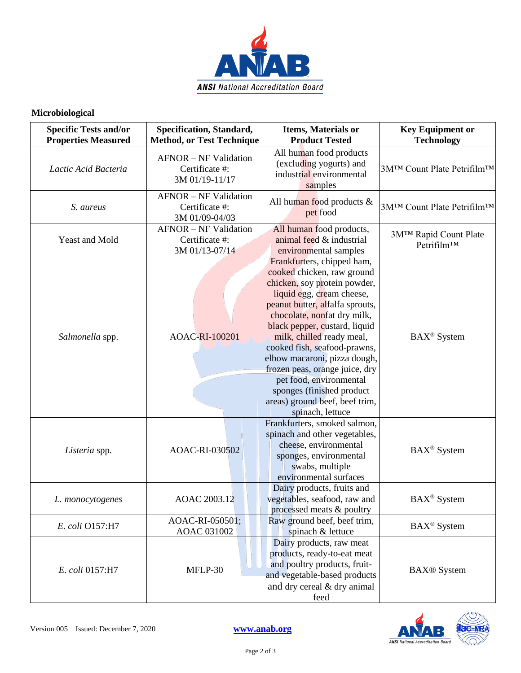

#### **Microbiological**

| <b>Specific Tests and/or</b><br><b>Properties Measured</b> | Specification, Standard,<br><b>Method, or Test Technique</b>     | <b>Items, Materials or</b><br><b>Product Tested</b>                                                                                                                                                                                                                                                                                                                                                                                                                   | <b>Key Equipment or</b><br><b>Technology</b>     |
|------------------------------------------------------------|------------------------------------------------------------------|-----------------------------------------------------------------------------------------------------------------------------------------------------------------------------------------------------------------------------------------------------------------------------------------------------------------------------------------------------------------------------------------------------------------------------------------------------------------------|--------------------------------------------------|
| Lactic Acid Bacteria                                       | <b>AFNOR - NF Validation</b><br>Certificate #:<br>3M 01/19-11/17 | All human food products<br>(excluding yogurts) and<br>industrial environmental<br>samples                                                                                                                                                                                                                                                                                                                                                                             | 3M™ Count Plate Petrifilm™                       |
| S. aureus                                                  | <b>AFNOR - NF Validation</b><br>Certificate #:<br>3M 01/09-04/03 | All human food products $\&$<br>pet food                                                                                                                                                                                                                                                                                                                                                                                                                              | 3M™ Count Plate Petrifilm™                       |
| Yeast and Mold                                             | <b>AFNOR - NF Validation</b><br>Certificate #:<br>3M 01/13-07/14 | All human food products,<br>animal feed & industrial<br>environmental samples                                                                                                                                                                                                                                                                                                                                                                                         | 3M™ Rapid Count Plate<br>Petrifilm <sup>TM</sup> |
| Salmonella spp.                                            | AOAC-RI-100201                                                   | Frankfurters, chipped ham,<br>cooked chicken, raw ground<br>chicken, soy protein powder,<br>liquid egg, cream cheese,<br>peanut butter, alfalfa sprouts,<br>chocolate, nonfat dry milk,<br>black pepper, custard, liquid<br>milk, chilled ready meal,<br>cooked fish, seafood-prawns,<br>elbow macaroni, pizza dough,<br>frozen peas, orange juice, dry<br>pet food, environmental<br>sponges (finished product<br>areas) ground beef, beef trim,<br>spinach, lettuce | BAX <sup>®</sup> System                          |
| Listeria spp.                                              | AOAC-RI-030502                                                   | Frankfurters, smoked salmon,<br>spinach and other vegetables,<br>cheese, environmental<br>sponges, environmental<br>swabs, multiple<br>environmental surfaces                                                                                                                                                                                                                                                                                                         | BAX <sup>®</sup> System                          |
| L. monocytogenes                                           | AOAC 2003.12                                                     | Dairy products, fruits and<br>vegetables, seafood, raw and<br>processed meats & poultry                                                                                                                                                                                                                                                                                                                                                                               | BAX <sup>®</sup> System                          |
| E. coli O157:H7                                            | AOAC-RI-050501;<br>AOAC 031002                                   | Raw ground beef, beef trim,<br>spinach & lettuce                                                                                                                                                                                                                                                                                                                                                                                                                      | BAX <sup>®</sup> System                          |
| E. coli 0157:H7                                            | MFLP-30                                                          | Dairy products, raw meat<br>products, ready-to-eat meat<br>and poultry products, fruit-<br>and vegetable-based products<br>and dry cereal & dry animal<br>feed                                                                                                                                                                                                                                                                                                        | <b>BAX®</b> System                               |